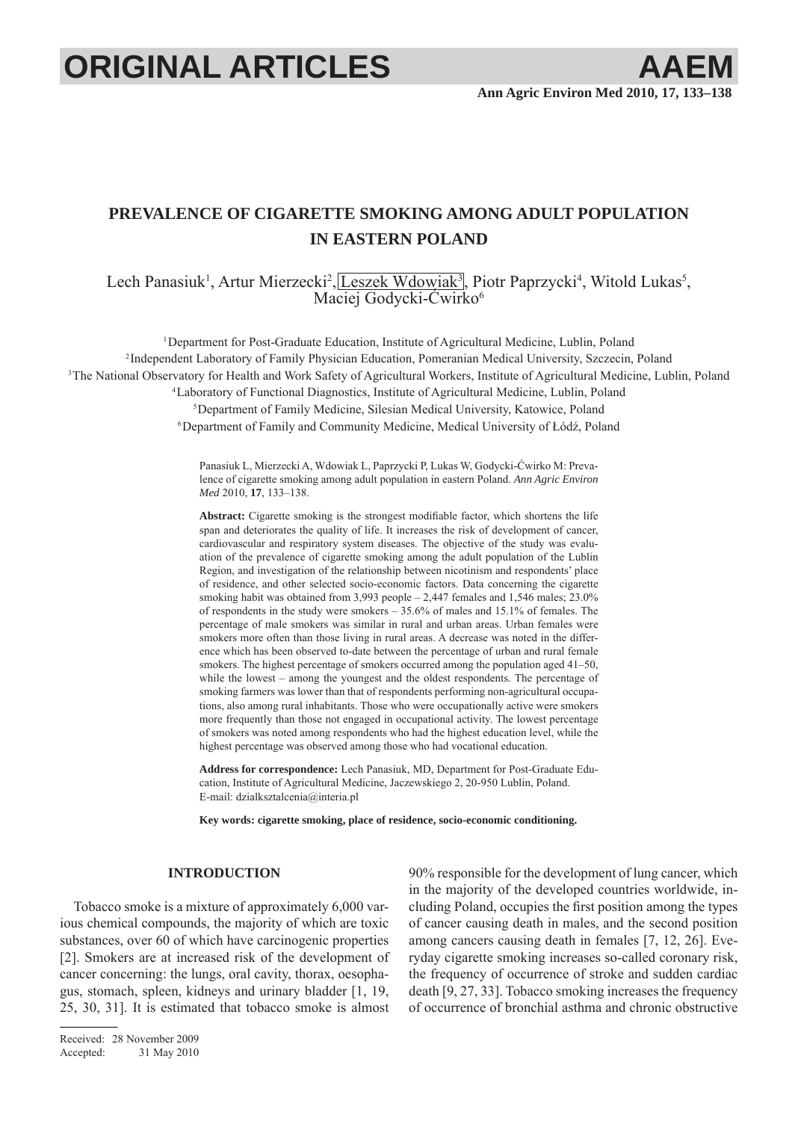# **ORIGINAL ARTICLES AAEI**

# **PREVALENCE OF CIGARETTE SMOKING AMONG ADULT POPULATION IN EASTERN POLAND**

Lech Panasiuk<sup>1</sup>, Artur Mierzecki<sup>2</sup>, Leszek Wdowiak<sup>3</sup>, Piotr Paprzycki<sup>4</sup>, Witold Lukas<sup>5</sup>, Maciej Godycki-Ćwirko<sup>6</sup>

<sup>1</sup>Department for Post-Graduate Education, Institute of Agricultural Medicine, Lublin, Poland 2 Independent Laboratory of Family Physician Education, Pomeranian Medical University, Szczecin, Poland <sup>3</sup>The National Observatory for Health and Work Safety of Agricultural Workers, Institute of Agricultural Medicine, Lublin, Poland 4 Laboratory of Functional Diagnostics, Institute of Agricultural Medicine, Lublin, Poland

5 Department of Family Medicine, Silesian Medical University, Katowice, Poland

6 Department of Family and Community Medicine, Medical University of Łódź, Poland

Panasiuk L, Mierzecki A, Wdowiak L, Paprzycki P, Lukas W, Godycki-Ćwirko M: Prevalence of cigarette smoking among adult population in eastern Poland. *Ann Agric Environ Med* 2010, **17**, 133–138.

Abstract: Cigarette smoking is the strongest modifiable factor, which shortens the life span and deteriorates the quality of life. It increases the risk of development of cancer, cardiovascular and respiratory system diseases. The objective of the study was evaluation of the prevalence of cigarette smoking among the adult population of the Lublin Region, and investigation of the relationship between nicotinism and respondents' place of residence, and other selected socio-economic factors. Data concerning the cigarette smoking habit was obtained from 3,993 people  $-2,447$  females and 1,546 males;  $23.0\%$ of respondents in the study were smokers – 35.6% of males and 15.1% of females. The percentage of male smokers was similar in rural and urban areas. Urban females were smokers more often than those living in rural areas. A decrease was noted in the difference which has been observed to-date between the percentage of urban and rural female smokers. The highest percentage of smokers occurred among the population aged 41–50, while the lowest – among the youngest and the oldest respondents. The percentage of smoking farmers was lower than that of respondents performing non-agricultural occupations, also among rural inhabitants. Those who were occupationally active were smokers more frequently than those not engaged in occupational activity. The lowest percentage of smokers was noted among respondents who had the highest education level, while the highest percentage was observed among those who had vocational education.

**Address for correspondence:** Lech Panasiuk, MD, Department for Post-Graduate Education, Institute of Agricultural Medicine, Jaczewskiego 2, 20-950 Lublin, Poland. E-mail: dzialksztalcenia@interia.pl

**Key words: cigarette smoking, place of residence, socio-economic conditioning.**

# **INTRODUCTION**

Tobacco smoke is a mixture of approximately 6,000 various chemical compounds, the majority of which are toxic substances, over 60 of which have carcinogenic properties [2]. Smokers are at increased risk of the development of cancer concerning: the lungs, oral cavity, thorax, oesophagus, stomach, spleen, kidneys and urinary bladder [1, 19, 25, 30, 31]. It is estimated that tobacco smoke is almost

Received: 28 November 2009 Accepted: 31 May 2010 90% responsible for the development of lung cancer, which in the majority of the developed countries worldwide, including Poland, occupies the first position among the types of cancer causing death in males, and the second position among cancers causing death in females [7, 12, 26]. Everyday cigarette smoking increases so-called coronary risk, the frequency of occurrence of stroke and sudden cardiac death [9, 27, 33]. Tobacco smoking increases the frequency of occurrence of bronchial asthma and chronic obstructive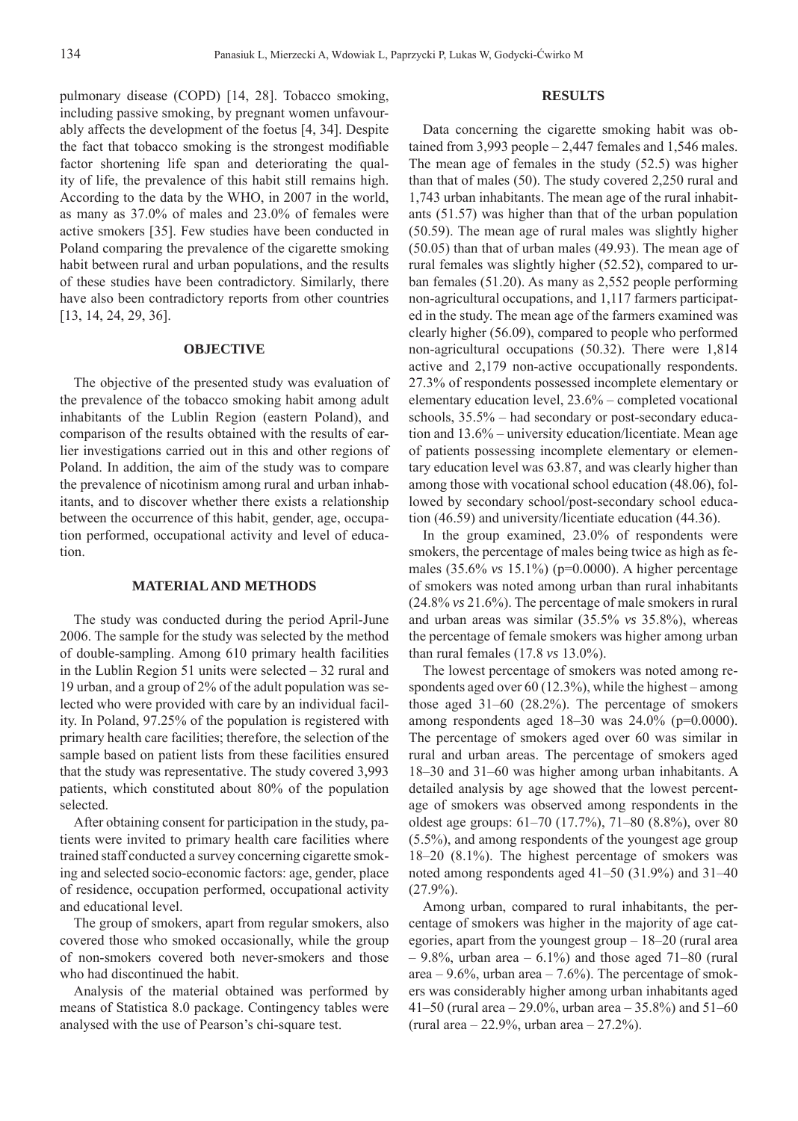pulmonary disease (COPD) [14, 28]. Tobacco smoking, including passive smoking, by pregnant women unfavourably affects the development of the foetus [4, 34]. Despite the fact that tobacco smoking is the strongest modifiable factor shortening life span and deteriorating the quality of life, the prevalence of this habit still remains high. According to the data by the WHO, in 2007 in the world, as many as 37.0% of males and 23.0% of females were active smokers [35]. Few studies have been conducted in Poland comparing the prevalence of the cigarette smoking habit between rural and urban populations, and the results of these studies have been contradictory. Similarly, there have also been contradictory reports from other countries [13, 14, 24, 29, 36].

### **OBJECTIVE**

The objective of the presented study was evaluation of the prevalence of the tobacco smoking habit among adult inhabitants of the Lublin Region (eastern Poland), and comparison of the results obtained with the results of earlier investigations carried out in this and other regions of Poland. In addition, the aim of the study was to compare the prevalence of nicotinism among rural and urban inhabitants, and to discover whether there exists a relationship between the occurrence of this habit, gender, age, occupation performed, occupational activity and level of education.

# **MATERIAL AND METHODS**

The study was conducted during the period April-June 2006. The sample for the study was selected by the method of double-sampling. Among 610 primary health facilities in the Lublin Region 51 units were selected – 32 rural and 19 urban, and a group of 2% of the adult population was selected who were provided with care by an individual facility. In Poland, 97.25% of the population is registered with primary health care facilities; therefore, the selection of the sample based on patient lists from these facilities ensured that the study was representative. The study covered 3,993 patients, which constituted about 80% of the population selected.

After obtaining consent for participation in the study, patients were invited to primary health care facilities where trained staff conducted a survey concerning cigarette smoking and selected socio-economic factors: age, gender, place of residence, occupation performed, occupational activity and educational level.

The group of smokers, apart from regular smokers, also covered those who smoked occasionally, while the group of non-smokers covered both never-smokers and those who had discontinued the habit.

Analysis of the material obtained was performed by means of Statistica 8.0 package. Contingency tables were analysed with the use of Pearson's chi-square test.

#### **RESULTS**

Data concerning the cigarette smoking habit was obtained from 3,993 people – 2,447 females and 1,546 males. The mean age of females in the study (52.5) was higher than that of males (50). The study covered 2,250 rural and 1,743 urban inhabitants. The mean age of the rural inhabitants (51.57) was higher than that of the urban population (50.59). The mean age of rural males was slightly higher (50.05) than that of urban males (49.93). The mean age of rural females was slightly higher (52.52), compared to urban females (51.20). As many as 2,552 people performing non-agricultural occupations, and 1,117 farmers participated in the study. The mean age of the farmers examined was clearly higher (56.09), compared to people who performed non-agricultural occupations (50.32). There were 1,814 active and 2,179 non-active occupationally respondents. 27.3% of respondents possessed incomplete elementary or elementary education level, 23.6% – completed vocational schools, 35.5% – had secondary or post-secondary education and 13.6% – university education/licentiate. Mean age of patients possessing incomplete elementary or elementary education level was 63.87, and was clearly higher than among those with vocational school education (48.06), followed by secondary school/post-secondary school education (46.59) and university/licentiate education (44.36).

In the group examined, 23.0% of respondents were smokers, the percentage of males being twice as high as females (35.6% *vs* 15.1%) (p=0.0000). A higher percentage of smokers was noted among urban than rural inhabitants (24.8% *vs* 21.6%). The percentage of male smokers in rural and urban areas was similar (35.5% *vs* 35.8%), whereas the percentage of female smokers was higher among urban than rural females (17.8 *vs* 13.0%).

The lowest percentage of smokers was noted among respondents aged over 60 (12.3%), while the highest – among those aged 31–60 (28.2%). The percentage of smokers among respondents aged 18–30 was 24.0% (p=0.0000). The percentage of smokers aged over 60 was similar in rural and urban areas. The percentage of smokers aged 18–30 and 31–60 was higher among urban inhabitants. A detailed analysis by age showed that the lowest percentage of smokers was observed among respondents in the oldest age groups: 61–70 (17.7%), 71–80 (8.8%), over 80 (5.5%), and among respondents of the youngest age group 18–20 (8.1%). The highest percentage of smokers was noted among respondents aged 41–50 (31.9%) and 31–40 (27.9%).

Among urban, compared to rural inhabitants, the percentage of smokers was higher in the majority of age categories, apart from the youngest group – 18–20 (rural area  $-9.8\%$ , urban area  $-6.1\%$ ) and those aged 71–80 (rural area –  $9.6\%$ , urban area –  $7.6\%$ ). The percentage of smokers was considerably higher among urban inhabitants aged 41–50 (rural area – 29.0%, urban area – 35.8%) and  $51-60$ (rural area  $-22.9%$ , urban area  $-27.2%$ ).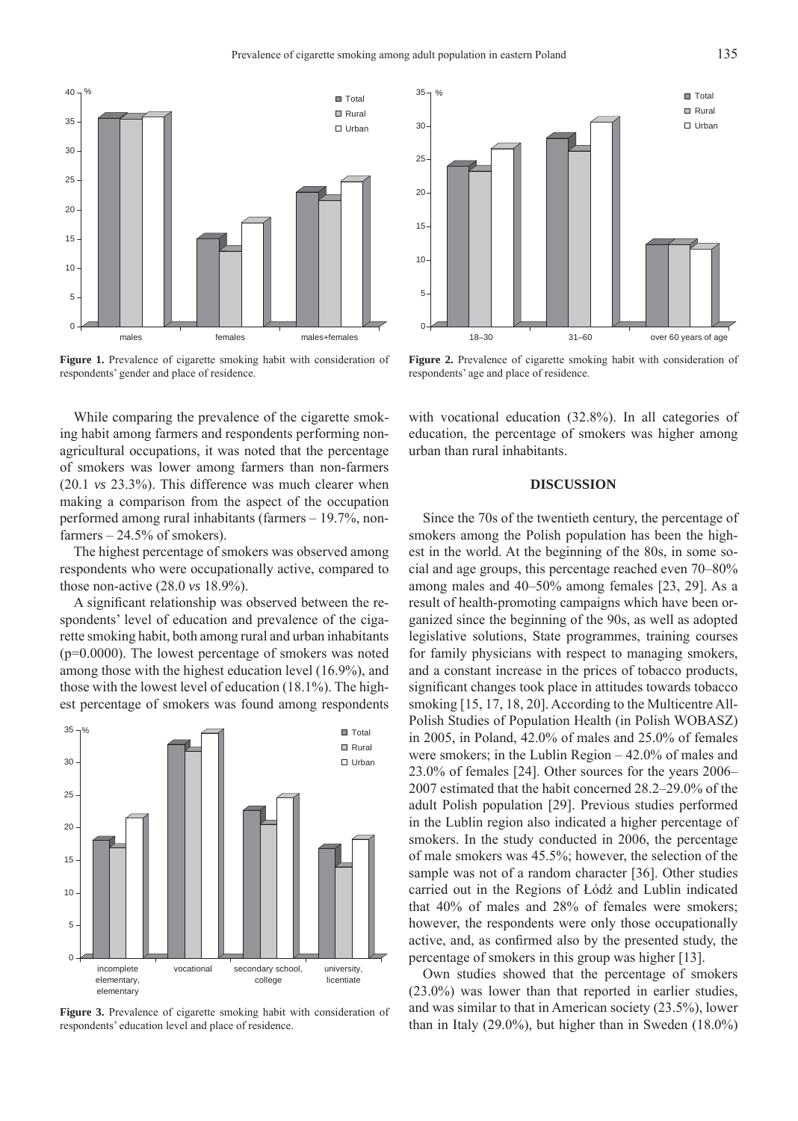

Figure 1. Prevalence of cigarette smoking habit with consideration of respondents' gender and place of residence.

While comparing the prevalence of the cigarette smoking habit among farmers and respondents performing nonagricultural occupations, it was noted that the percentage of smokers was lower among farmers than non-farmers (20.1 *vs* 23.3%). This difference was much clearer when making a comparison from the aspect of the occupation performed among rural inhabitants (farmers – 19.7%, nonfarmers  $-24.5%$  of smokers).

The highest percentage of smokers was observed among respondents who were occupationally active, compared to those non-active (28.0 *vs* 18.9%).

A significant relationship was observed between the respondents' level of education and prevalence of the cigarette smoking habit, both among rural and urban inhabitants (p=0.0000). The lowest percentage of smokers was noted among those with the highest education level (16.9%), and those with the lowest level of education (18.1%). The highest percentage of smokers was found among respondents



**Figure 3.** Prevalence of cigarette smoking habit with consideration of respondents' education level and place of residence.



**Figure 2.** Prevalence of cigarette smoking habit with consideration of respondents' age and place of residence.

with vocational education (32.8%). In all categories of education, the percentage of smokers was higher among urban than rural inhabitants.

### **DISCUSSION**

Since the 70s of the twentieth century, the percentage of smokers among the Polish population has been the highest in the world. At the beginning of the 80s, in some social and age groups, this percentage reached even 70–80% among males and 40–50% among females [23, 29]. As a result of health-promoting campaigns which have been organized since the beginning of the 90s, as well as adopted legislative solutions, State programmes, training courses for family physicians with respect to managing smokers, and a constant increase in the prices of tobacco products, significant changes took place in attitudes towards tobacco smoking [15, 17, 18, 20]. According to the Multicentre All-Polish Studies of Population Health (in Polish WOBASZ) in 2005, in Poland, 42.0% of males and 25.0% of females were smokers; in the Lublin Region – 42.0% of males and 23.0% of females [24]. Other sources for the years 2006– 2007 estimated that the habit concerned 28.2–29.0% of the adult Polish population [29]. Previous studies performed in the Lublin region also indicated a higher percentage of smokers. In the study conducted in 2006, the percentage of male smokers was 45.5%; however, the selection of the sample was not of a random character [36]. Other studies carried out in the Regions of Łódź and Lublin indicated that 40% of males and 28% of females were smokers; however, the respondents were only those occupationally active, and, as confirmed also by the presented study, the percentage of smokers in this group was higher [13].

Own studies showed that the percentage of smokers (23.0%) was lower than that reported in earlier studies, and was similar to that in American society (23.5%), lower than in Italy (29.0%), but higher than in Sweden (18.0%)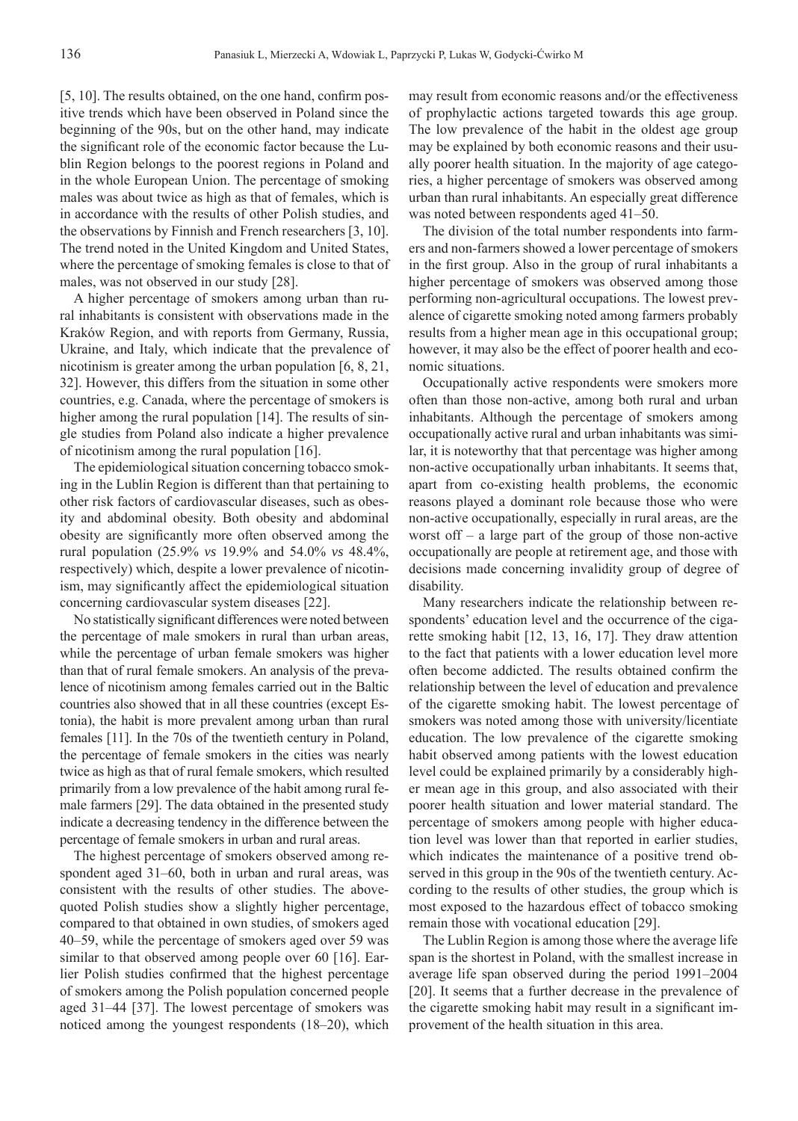$[5, 10]$ . The results obtained, on the one hand, confirm positive trends which have been observed in Poland since the beginning of the 90s, but on the other hand, may indicate the significant role of the economic factor because the Lublin Region belongs to the poorest regions in Poland and in the whole European Union. The percentage of smoking males was about twice as high as that of females, which is in accordance with the results of other Polish studies, and the observations by Finnish and French researchers [3, 10]. The trend noted in the United Kingdom and United States, where the percentage of smoking females is close to that of males, was not observed in our study [28].

A higher percentage of smokers among urban than rural inhabitants is consistent with observations made in the Kraków Region, and with reports from Germany, Russia, Ukraine, and Italy, which indicate that the prevalence of nicotinism is greater among the urban population [6, 8, 21, 32]. However, this differs from the situation in some other countries, e.g. Canada, where the percentage of smokers is higher among the rural population [14]. The results of single studies from Poland also indicate a higher prevalence of nicotinism among the rural population [16].

The epidemiological situation concerning tobacco smoking in the Lublin Region is different than that pertaining to other risk factors of cardiovascular diseases, such as obesity and abdominal obesity. Both obesity and abdominal obesity are significantly more often observed among the rural population (25.9% *vs* 19.9% and 54.0% *vs* 48.4%, respectively) which, despite a lower prevalence of nicotinism, may significantly affect the epidemiological situation concerning cardiovascular system diseases [22].

No statistically significant differences were noted between the percentage of male smokers in rural than urban areas, while the percentage of urban female smokers was higher than that of rural female smokers. An analysis of the prevalence of nicotinism among females carried out in the Baltic countries also showed that in all these countries (except Estonia), the habit is more prevalent among urban than rural females [11]. In the 70s of the twentieth century in Poland, the percentage of female smokers in the cities was nearly twice as high as that of rural female smokers, which resulted primarily from a low prevalence of the habit among rural female farmers [29]. The data obtained in the presented study indicate a decreasing tendency in the difference between the percentage of female smokers in urban and rural areas.

The highest percentage of smokers observed among respondent aged 31–60, both in urban and rural areas, was consistent with the results of other studies. The abovequoted Polish studies show a slightly higher percentage, compared to that obtained in own studies, of smokers aged 40–59, while the percentage of smokers aged over 59 was similar to that observed among people over 60 [16]. Earlier Polish studies confirmed that the highest percentage of smokers among the Polish population concerned people aged 31–44 [37]. The lowest percentage of smokers was noticed among the youngest respondents (18–20), which may result from economic reasons and/or the effectiveness of prophylactic actions targeted towards this age group. The low prevalence of the habit in the oldest age group may be explained by both economic reasons and their usually poorer health situation. In the majority of age categories, a higher percentage of smokers was observed among urban than rural inhabitants. An especially great difference was noted between respondents aged 41–50.

The division of the total number respondents into farmers and non-farmers showed a lower percentage of smokers in the first group. Also in the group of rural inhabitants a higher percentage of smokers was observed among those performing non-agricultural occupations. The lowest prevalence of cigarette smoking noted among farmers probably results from a higher mean age in this occupational group; however, it may also be the effect of poorer health and economic situations.

Occupationally active respondents were smokers more often than those non-active, among both rural and urban inhabitants. Although the percentage of smokers among occupationally active rural and urban inhabitants was similar, it is noteworthy that that percentage was higher among non-active occupationally urban inhabitants. It seems that, apart from co-existing health problems, the economic reasons played a dominant role because those who were non-active occupationally, especially in rural areas, are the worst off – a large part of the group of those non-active occupationally are people at retirement age, and those with decisions made concerning invalidity group of degree of disability.

Many researchers indicate the relationship between respondents' education level and the occurrence of the cigarette smoking habit [12, 13, 16, 17]. They draw attention to the fact that patients with a lower education level more often become addicted. The results obtained confirm the relationship between the level of education and prevalence of the cigarette smoking habit. The lowest percentage of smokers was noted among those with university/licentiate education. The low prevalence of the cigarette smoking habit observed among patients with the lowest education level could be explained primarily by a considerably higher mean age in this group, and also associated with their poorer health situation and lower material standard. The percentage of smokers among people with higher education level was lower than that reported in earlier studies, which indicates the maintenance of a positive trend observed in this group in the 90s of the twentieth century. According to the results of other studies, the group which is most exposed to the hazardous effect of tobacco smoking remain those with vocational education [29].

The Lublin Region is among those where the average life span is the shortest in Poland, with the smallest increase in average life span observed during the period 1991–2004 [20]. It seems that a further decrease in the prevalence of the cigarette smoking habit may result in a significant improvement of the health situation in this area.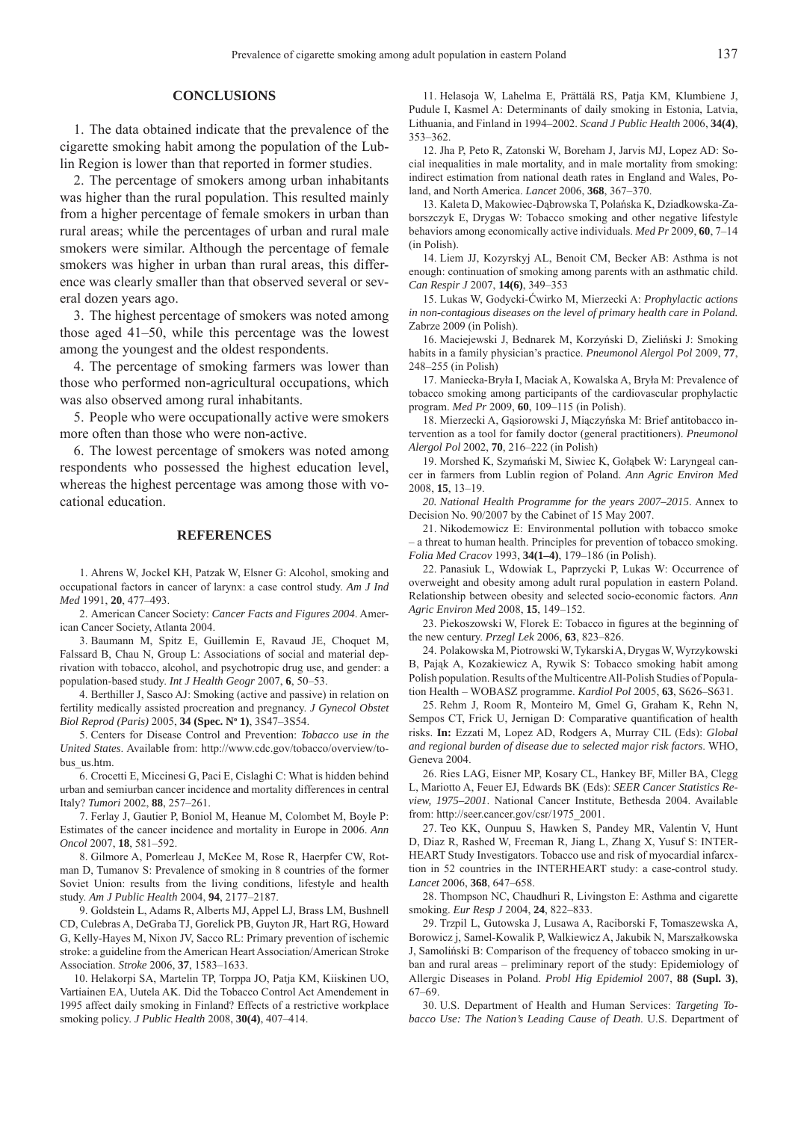#### **CONCLUSIONS**

1. The data obtained indicate that the prevalence of the cigarette smoking habit among the population of the Lublin Region is lower than that reported in former studies.

2. The percentage of smokers among urban inhabitants was higher than the rural population. This resulted mainly from a higher percentage of female smokers in urban than rural areas; while the percentages of urban and rural male smokers were similar. Although the percentage of female smokers was higher in urban than rural areas, this difference was clearly smaller than that observed several or several dozen years ago.

3. The highest percentage of smokers was noted among those aged 41–50, while this percentage was the lowest among the youngest and the oldest respondents.

4. The percentage of smoking farmers was lower than those who performed non-agricultural occupations, which was also observed among rural inhabitants.

5. People who were occupationally active were smokers more often than those who were non-active.

6. The lowest percentage of smokers was noted among respondents who possessed the highest education level, whereas the highest percentage was among those with vocational education.

#### **REFERENCES**

1. Ahrens W, Jockel KH, Patzak W, Elsner G: Alcohol, smoking and occupational factors in cancer of larynx: a case control study. *Am J Ind Med* 1991, **20**, 477–493.

2. American Cancer Society: Cancer Facts and Figures 2004. American Cancer Society, Atlanta 2004.

Baumann M, Spitz E, Guillemin E, Ravaud JE, Choquet M, 3. Falssard B, Chau N, Group L: Associations of social and material deprivation with tobacco, alcohol, and psychotropic drug use, and gender: a population-based study. *Int J Health Geogr* 2007, **6**, 50–53.

4. Berthiller J, Sasco AJ: Smoking (active and passive) in relation on fertility medically assisted procreation and pregnancy. *J Gynecol Obstet Biol Reprod (Paris)* 2005, **34 (Spec. No 1)**, 3S47–3S54.

5. Centers for Disease Control and Prevention: *Tobacco use in the United States*. Available from: http://www.cdc.gov/tobacco/overview/tobus\_us.htm.

6. Crocetti E, Miccinesi G, Paci E, Cislaghi C: What is hidden behind urban and semiurban cancer incidence and mortality differences in central Italy? *Tumori* 2002, **88**, 257–261.

Ferlay J, Gautier P, Boniol M, Heanue M, Colombet M, Boyle P: 7. Estimates of the cancer incidence and mortality in Europe in 2006. *Ann Oncol* 2007, **18**, 581–592.

8. Gilmore A, Pomerleau J, McKee M, Rose R, Haerpfer CW, Rotman D, Tumanov S: Prevalence of smoking in 8 countries of the former Soviet Union: results from the living conditions, lifestyle and health study. *Am J Public Health* 2004, **94**, 2177–2187.

9. Goldstein L, Adams R, Alberts MJ, Appel LJ, Brass LM, Bushnell CD, Culebras A, DeGraba TJ, Gorelick PB, Guyton JR, Hart RG, Howard G, Kelly-Hayes M, Nixon JV, Sacco RL: Primary prevention of ischemic stroke: a guideline from the American Heart Association/American Stroke Association. *Stroke* 2006, **37**, 1583–1633.

10. Helakorpi SA, Martelin TP, Torppa JO, Patja KM, Kiiskinen UO, Vartiainen EA, Uutela AK. Did the Tobacco Control Act Amendement in 1995 affect daily smoking in Finland? Effects of a restrictive workplace smoking policy. *J Public Health* 2008, **30(4)**, 407–414.

Helasoja W, Lahelma E, Prättälä RS, Patja KM, Klumbiene J, 11. Pudule I, Kasmel A: Determinants of daily smoking in Estonia, Latvia, Lithuania, and Finland in 1994–2002. *Scand J Public Health* 2006, **34(4)**, 353–362.

12. Jha P, Peto R, Zatonski W, Boreham J, Jarvis MJ, Lopez AD: Social inequalities in male mortality, and in male mortality from smoking: indirect estimation from national death rates in England and Wales, Poland, and North America. *Lancet* 2006, **368**, 367–370.

13. Kaleta D, Makowiec-Dąbrowska T, Polańska K, Dziadkowska-Zaborszczyk E, Drygas W: Tobacco smoking and other negative lifestyle behaviors among economically active individuals. *Med Pr* 2009, **60**, 7–14 (in Polish).

14. Liem JJ, Kozyrskyj AL, Benoit CM, Becker AB: Asthma is not enough: continuation of smoking among parents with an asthmatic child. *Can Respir J* 2007, **14(6)**, 349–353

Lukas W, Godycki-Ćwirko M, Mierzecki A: *Prophylactic actions*  15. *in non-contagious diseases on the level of primary health care in Poland.* Zabrze 2009 (in Polish).

16. Maciejewski J, Bednarek M, Korzyński D, Zieliński J: Smoking habits in a family physician's practice. *Pneumonol Alergol Pol* 2009, **77**, 248–255 (in Polish)

17. Maniecka-Bryła I, Maciak A, Kowalska A, Bryła M: Prevalence of tobacco smoking among participants of the cardiovascular prophylactic program. *Med Pr* 2009, **60**, 109–115 (in Polish).

18. Mierzecki A, Gąsiorowski J, Miączyńska M: Brief antitobacco intervention as a tool for family doctor (general practitioners). *Pneumonol Alergol Pol* 2002, **70**, 216–222 (in Polish)

19. Morshed K, Szymański M, Siwiec K, Gołąbek W: Laryngeal cancer in farmers from Lublin region of Poland. *Ann Agric Environ Med* 2008, **15**, 13–19.

*National Health Programme for the years 2007–2015*. Annex to *20.* Decision No. 90/2007 by the Cabinet of 15 May 2007.

21. Nikodemowicz E: Environmental pollution with tobacco smoke – a threat to human health. Principles for prevention of tobacco smoking. *Folia Med Cracov* 1993, **34(1–4)**, 179–186 (in Polish).

22. Panasiuk L, Wdowiak L, Paprzycki P, Lukas W: Occurrence of overweight and obesity among adult rural population in eastern Poland. Relationship between obesity and selected socio-economic factors. *Ann Agric Environ Med* 2008, **15**, 149–152.

23. Piekoszowski W, Florek E: Tobacco in figures at the beginning of the new century. *Przegl Lek* 2006, **63**, 823–826.

Polakowska M, Piotrowski W, Tykarski A, Drygas W, Wyrzykowski 24. B, Pająk A, Kozakiewicz A, Rywik S: Tobacco smoking habit among Polish population. Results of the Multicentre All-Polish Studies of Population Health – WOBASZ programme. *Kardiol Pol* 2005, **63**, S626–S631.

25. Rehm J, Room R, Monteiro M, Gmel G, Graham K, Rehn N, Sempos CT, Frick U, Jernigan D: Comparative quantification of health risks. **In:** Ezzati M, Lopez AD, Rodgers A, Murray CIL (Eds): *Global and regional burden of disease due to selected major risk factors*. WHO, Geneva 2004.

26. Ries LAG, Eisner MP, Kosary CL, Hankey BF, Miller BA, Clegg L, Mariotto A, Feuer EJ, Edwards BK (Eds): *SEER Cancer Statistics Review, 1975–2001*. National Cancer Institute, Bethesda 2004. Available from: http://seer.cancer.gov/csr/1975\_2001.

27. Teo KK, Ounpuu S, Hawken S, Pandey MR, Valentin V, Hunt D, Diaz R, Rashed W, Freeman R, Jiang L, Zhang X, Yusuf S: INTER-HEART Study Investigators. Tobacco use and risk of myocardial infarcxtion in 52 countries in the INTERHEART study: a case-control study. *Lancet* 2006, **368**, 647–658.

28. Thompson NC, Chaudhuri R, Livingston E: Asthma and cigarette smoking. *Eur Resp J* 2004, **24**, 822–833.

29. Trzpil L, Gutowska J, Lusawa A, Raciborski F, Tomaszewska A, Borowicz j, Samel-Kowalik P, Walkiewicz A, Jakubik N, Marszałkowska J, Samoliński B: Comparison of the frequency of tobacco smoking in urban and rural areas – preliminary report of the study: Epidemiology of Allergic Diseases in Poland. *Probl Hig Epidemiol* 2007, **88 (Supl. 3)**, 67–69.

U.S. Department of Health and Human Services: *Targeting To-*30.*bacco Use: The Nation's Leading Cause of Death*. U.S. Department of